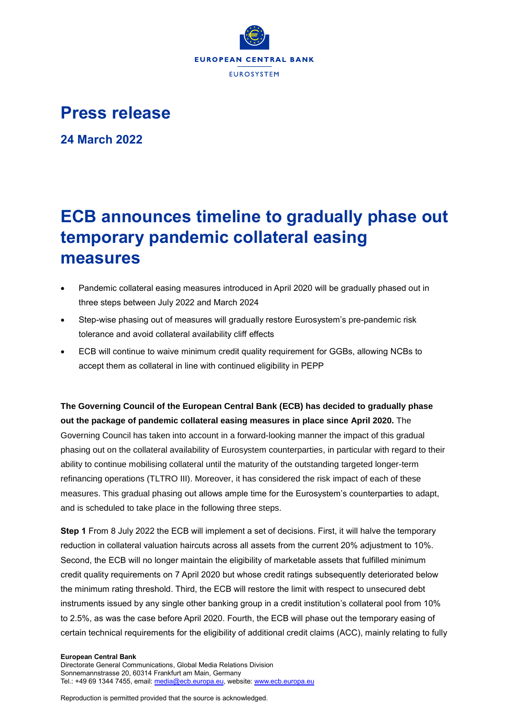

## **Press release**

**24 March 2022**

## **ECB announces timeline to gradually phase out temporary pandemic collateral easing measures**

- Pandemic collateral easing measures introduced in April 2020 will be gradually phased out in three steps between July 2022 and March 2024
- Step-wise phasing out of measures will gradually restore Eurosystem's pre-pandemic risk tolerance and avoid collateral availability cliff effects
- ECB will continue to waive minimum credit quality requirement for GGBs, allowing NCBs to accept them as collateral in line with continued eligibility in PEPP

**The Governing Council of the European Central Bank (ECB) has decided to gradually phase out the package of pandemic collateral easing measures in place since April 2020.** The Governing Council has taken into account in a forward-looking manner the impact of this gradual phasing out on the collateral availability of Eurosystem counterparties, in particular with regard to their ability to continue mobilising collateral until the maturity of the outstanding targeted longer-term refinancing operations (TLTRO III). Moreover, it has considered the risk impact of each of these measures. This gradual phasing out allows ample time for the Eurosystem's counterparties to adapt, and is scheduled to take place in the following three steps.

**Step 1** From 8 July 2022 the ECB will implement a set of decisions. First, it will halve the temporary reduction in collateral valuation haircuts across all assets from the current 20% adjustment to 10%. Second, the ECB will no longer maintain the eligibility of marketable assets that fulfilled minimum credit quality requirements on 7 April 2020 but whose credit ratings subsequently deteriorated below the minimum rating threshold. Third, the ECB will restore the limit with respect to unsecured debt instruments issued by any single other banking group in a credit institution's collateral pool from 10% to 2.5%, as was the case before April 2020. Fourth, the ECB will phase out the temporary easing of certain technical requirements for the eligibility of additional credit claims (ACC), mainly relating to fully

## **European Central Bank**

Directorate General Communications, Global Media Relations Division Sonnemannstrasse 20, 60314 Frankfurt am Main, Germany Tel.: +49 69 1344 7455, email[: media@ecb.europa.eu,](mailto:media@ecb.europa.eu) website[: www.ecb.europa.eu](http://www.ecb.europa.eu/)

Reproduction is permitted provided that the source is acknowledged.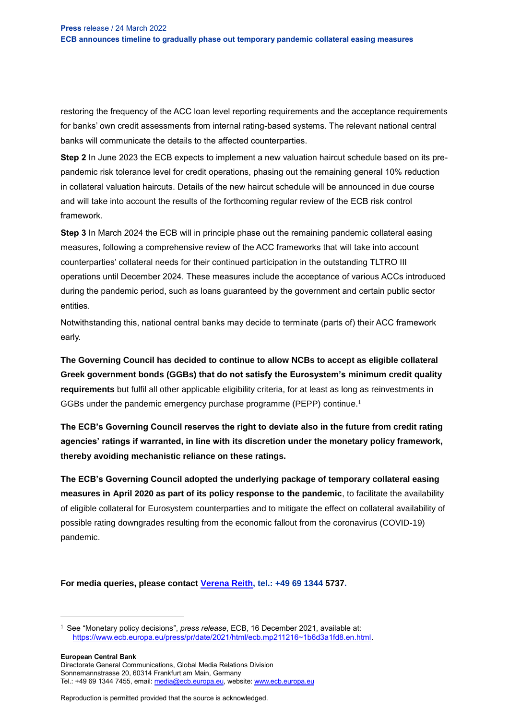restoring the frequency of the ACC loan level reporting requirements and the acceptance requirements for banks' own credit assessments from internal rating-based systems. The relevant national central banks will communicate the details to the affected counterparties.

**Step 2** In June 2023 the ECB expects to implement a new valuation haircut schedule based on its prepandemic risk tolerance level for credit operations, phasing out the remaining general 10% reduction in collateral valuation haircuts. Details of the new haircut schedule will be announced in due course and will take into account the results of the forthcoming regular review of the ECB risk control framework.

**Step 3** In March 2024 the ECB will in principle phase out the remaining pandemic collateral easing measures, following a comprehensive review of the ACC frameworks that will take into account counterparties' collateral needs for their continued participation in the outstanding TLTRO III operations until December 2024. These measures include the acceptance of various ACCs introduced during the pandemic period, such as loans guaranteed by the government and certain public sector entities.

Notwithstanding this, national central banks may decide to terminate (parts of) their ACC framework early.

**The Governing Council has decided to continue to allow NCBs to accept as eligible collateral Greek government bonds (GGBs) that do not satisfy the Eurosystem's minimum credit quality requirements** but fulfil all other applicable eligibility criteria, for at least as long as reinvestments in GGBs under the pandemic emergency purchase programme (PEPP) continue. 1

**The ECB's Governing Council reserves the right to deviate also in the future from credit rating agencies' ratings if warranted, in line with its discretion under the monetary policy framework, thereby avoiding mechanistic reliance on these ratings.**

**The ECB's Governing Council adopted the underlying package of temporary collateral easing measures in April 2020 as part of its policy response to the pandemic**, to facilitate the availability of eligible collateral for Eurosystem counterparties and to mitigate the effect on collateral availability of possible rating downgrades resulting from the economic fallout from the coronavirus (COVID-19) pandemic.

**For media queries, please contact [Verena Reith,](mailto:Verena.Reith@ecb.europa.eu) tel.: +49 69 1344 5737.**

**European Central Bank**

 $\overline{\phantom{a}}$ 

Directorate General Communications, Global Media Relations Division Sonnemannstrasse 20, 60314 Frankfurt am Main, Germany Tel.: +49 69 1344 7455, email[: media@ecb.europa.eu,](mailto:media@ecb.europa.eu) website[: www.ecb.europa.eu](http://www.ecb.europa.eu/)

Reproduction is permitted provided that the source is acknowledged.

<sup>1</sup> See "Monetary policy decisions", *press release*, ECB, 16 December 2021, available at: [https://www.ecb.europa.eu/press/pr/date/2021/html/ecb.mp211216~1b6d3a1fd8.en.html.](https://www.ecb.europa.eu/press/pr/date/2021/html/ecb.mp211216~1b6d3a1fd8.en.html)